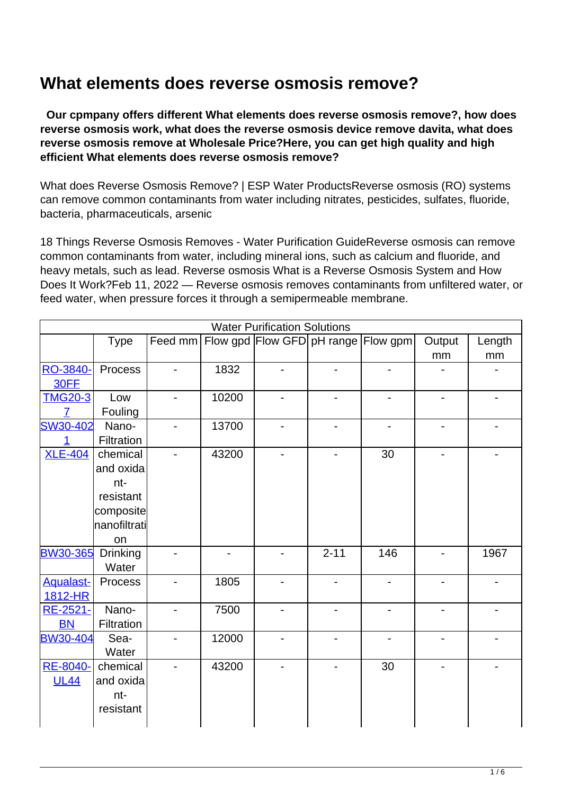## **What elements does reverse osmosis remove?**

 **Our cpmpany offers different What elements does reverse osmosis remove?, how does reverse osmosis work, what does the reverse osmosis device remove davita, what does reverse osmosis remove at Wholesale Price?Here, you can get high quality and high efficient What elements does reverse osmosis remove?**

What does Reverse Osmosis Remove? | ESP Water ProductsReverse osmosis (RO) systems can remove common contaminants from water including nitrates, pesticides, sulfates, fluoride, bacteria, pharmaceuticals, arsenic

18 Things Reverse Osmosis Removes - Water Purification GuideReverse osmosis can remove common contaminants from water, including mineral ions, such as calcium and fluoride, and heavy metals, such as lead. Reverse osmosis What is a Reverse Osmosis System and How Does It Work?Feb 11, 2022 — Reverse osmosis removes contaminants from unfiltered water, or feed water, when pressure forces it through a semipermeable membrane.

|                  |              |                |       | <b>Water Purification Solutions</b> |          |                          |                          |        |
|------------------|--------------|----------------|-------|-------------------------------------|----------|--------------------------|--------------------------|--------|
|                  | <b>Type</b>  | Feed mm        |       | Flow gpd Flow GFD pH range Flow gpm |          |                          | Output                   | Length |
|                  |              |                |       |                                     |          |                          | mm                       | mm     |
| RO-3840-         | Process      |                | 1832  |                                     |          |                          |                          |        |
| 30FF             |              |                |       |                                     |          |                          |                          |        |
| <b>TMG20-3</b>   | Low          | $\blacksquare$ | 10200 | $\overline{\phantom{a}}$            |          | -                        | $\overline{\phantom{0}}$ |        |
| 7                | Fouling      |                |       |                                     |          |                          |                          |        |
| SW30-402         | Nano-        |                | 13700 |                                     |          |                          |                          |        |
| 1                | Filtration   |                |       |                                     |          |                          |                          |        |
| <b>XLE-404</b>   | chemical     |                | 43200 |                                     |          | 30                       |                          |        |
|                  | and oxida    |                |       |                                     |          |                          |                          |        |
|                  | nt-          |                |       |                                     |          |                          |                          |        |
|                  | resistant    |                |       |                                     |          |                          |                          |        |
|                  | composite    |                |       |                                     |          |                          |                          |        |
|                  | nanofiltrati |                |       |                                     |          |                          |                          |        |
|                  | on           |                |       |                                     |          |                          |                          |        |
| <b>BW30-365</b>  | Drinking     |                |       |                                     | $2 - 11$ | 146                      |                          | 1967   |
|                  | Water        |                |       |                                     |          |                          |                          |        |
| <b>Aqualast-</b> | Process      |                | 1805  |                                     |          | $\overline{\phantom{a}}$ | $\overline{\phantom{0}}$ |        |
| 1812-HR          |              |                |       |                                     |          |                          |                          |        |
| RE-2521-         | Nano-        |                | 7500  |                                     |          |                          |                          |        |
| <b>BN</b>        | Filtration   |                |       |                                     |          |                          |                          |        |
| <b>BW30-404</b>  | Sea-         |                | 12000 |                                     |          |                          | $\overline{\phantom{0}}$ |        |
|                  | Water        |                |       |                                     |          |                          |                          |        |
| RE-8040-         | chemical     |                | 43200 |                                     |          | 30                       |                          |        |
| <b>UL44</b>      | and oxida    |                |       |                                     |          |                          |                          |        |
|                  | nt-          |                |       |                                     |          |                          |                          |        |
|                  | resistant    |                |       |                                     |          |                          |                          |        |
|                  |              |                |       |                                     |          |                          |                          |        |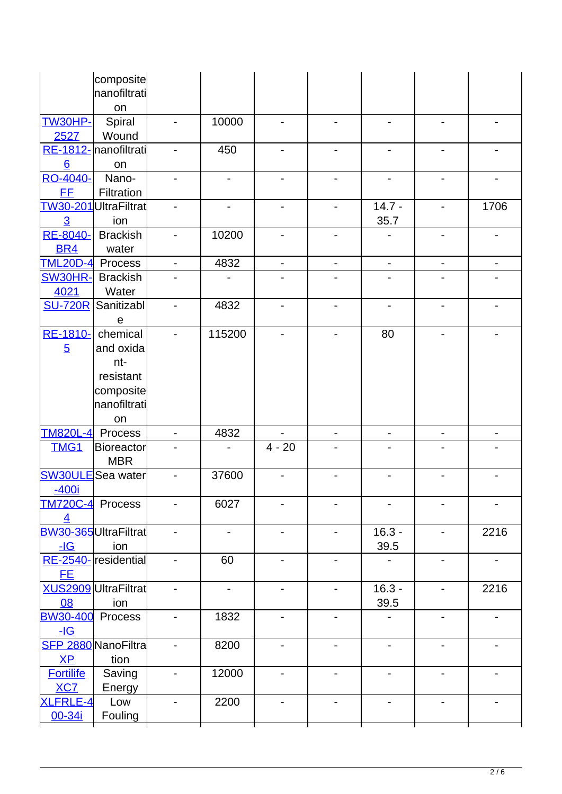|                           | composite                    |                              |                              |                              |                          |                              |                              |                              |
|---------------------------|------------------------------|------------------------------|------------------------------|------------------------------|--------------------------|------------------------------|------------------------------|------------------------------|
|                           | nanofiltrati<br>on           |                              |                              |                              |                          |                              |                              |                              |
| <b>TW30HP-</b>            | Spiral                       |                              | 10000                        |                              |                          |                              |                              |                              |
| 2527                      | Wound                        |                              |                              |                              |                          |                              |                              |                              |
|                           | RE-1812- nanofiltrati        |                              | 450                          |                              |                          |                              | $\overline{\phantom{0}}$     |                              |
| $6 \overline{6}$          | on                           |                              |                              |                              |                          |                              |                              |                              |
| RO-4040-                  | Nano-                        | $\overline{\phantom{0}}$     | $\overline{\phantom{0}}$     |                              |                          |                              | $\overline{\phantom{0}}$     |                              |
| <b>FF</b>                 | Filtration                   |                              |                              |                              |                          |                              |                              |                              |
|                           | TW30-201UltraFiltrat         |                              | $\qquad \qquad \blacksquare$ |                              |                          | $14.7 -$                     | $\qquad \qquad \blacksquare$ | 1706                         |
| $\overline{3}$            | ion                          |                              |                              |                              |                          | 35.7                         |                              |                              |
| RE-8040-                  | <b>Brackish</b>              |                              | 10200                        |                              |                          |                              |                              |                              |
| <b>BR4</b>                | water                        |                              |                              |                              |                          |                              |                              |                              |
| <b>TML20D-4</b>           | Process                      | $\qquad \qquad \blacksquare$ | 4832                         | $\qquad \qquad \blacksquare$ | $\overline{\phantom{a}}$ | -                            | $\overline{\phantom{0}}$     | $\qquad \qquad \blacksquare$ |
| <b>SW30HR-</b>            | <b>Brackish</b>              |                              |                              |                              |                          |                              |                              |                              |
| 4021                      | Water                        |                              |                              |                              |                          |                              |                              |                              |
| <b>SU-720R</b>            | Sanitizabl                   |                              | 4832                         |                              |                          |                              |                              |                              |
|                           | $\mathbf e$                  |                              |                              |                              |                          |                              |                              |                              |
| RE-1810-                  | chemical                     |                              | 115200                       |                              |                          | 80                           |                              |                              |
| $\overline{5}$            | and oxida                    |                              |                              |                              |                          |                              |                              |                              |
|                           | nt-                          |                              |                              |                              |                          |                              |                              |                              |
|                           | resistant                    |                              |                              |                              |                          |                              |                              |                              |
|                           | composite<br>nanofiltrati    |                              |                              |                              |                          |                              |                              |                              |
|                           |                              |                              |                              |                              |                          |                              |                              |                              |
|                           |                              |                              |                              |                              |                          |                              |                              |                              |
|                           | on                           |                              |                              |                              |                          |                              |                              |                              |
| <b>TM820L-4</b>           | Process                      | $\overline{\phantom{0}}$     | 4832                         |                              | -                        | $\qquad \qquad \blacksquare$ | $\overline{\phantom{0}}$     | $\qquad \qquad \blacksquare$ |
| <b>TMG1</b>               | <b>Bioreactor</b>            |                              |                              | $4 - 20$                     |                          |                              |                              |                              |
|                           | <b>MBR</b>                   |                              |                              |                              |                          |                              |                              |                              |
| $-400i$                   | <b>SW30ULE</b> Sea water     |                              | 37600                        |                              |                          |                              |                              |                              |
|                           |                              |                              |                              |                              |                          |                              |                              |                              |
| TM720C-4 Process          |                              |                              | 6027                         |                              |                          |                              |                              |                              |
| $\overline{4}$            | <b>BW30-365</b> UltraFiltrat |                              |                              |                              | Ξ.                       | $16.3 -$                     | $\overline{\phantom{0}}$     | 2216                         |
| $-IG$                     | ion                          |                              |                              |                              |                          | 39.5                         |                              |                              |
|                           | RE-2540- residential         | $\overline{\phantom{0}}$     | 60                           |                              |                          |                              |                              |                              |
| <u>FE</u>                 |                              |                              |                              |                              |                          |                              |                              |                              |
|                           | XUS2909 UltraFiltrat         |                              | $\overline{a}$               |                              | $\overline{\phantom{0}}$ | $16.3 -$                     | $\overline{\phantom{0}}$     | 2216                         |
| 08                        | ion                          |                              |                              |                              |                          | 39.5                         |                              |                              |
| <b>BW30-400</b>           | Process                      | $\overline{a}$               | 1832                         |                              |                          |                              |                              |                              |
| $-IG$                     |                              |                              |                              |                              |                          |                              |                              |                              |
|                           | SFP 2880 NanoFiltra          | $\blacksquare$               | 8200                         | $\blacksquare$               | Ξ.                       | $\qquad \qquad \blacksquare$ | $\overline{\phantom{0}}$     |                              |
| XP                        | tion                         |                              |                              |                              |                          |                              |                              |                              |
| <b>Fortilife</b>          | Saving                       | $\overline{\phantom{0}}$     | 12000                        |                              |                          |                              |                              |                              |
| <b>XC7</b>                | Energy                       |                              |                              |                              |                          |                              |                              |                              |
| <b>XLFRLE-4</b><br>00-34i | Low<br>Fouling               |                              | 2200                         | $\overline{\phantom{a}}$     |                          | $\qquad \qquad \blacksquare$ | ۰                            |                              |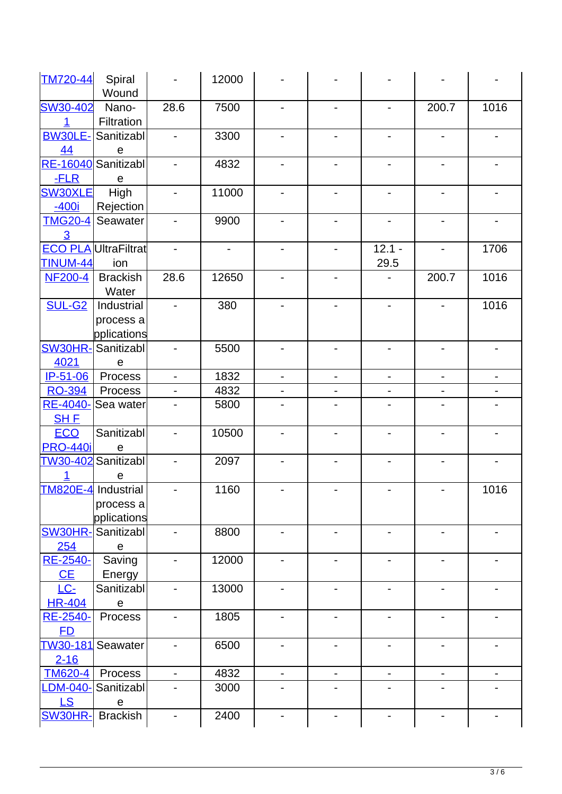| <b>TM720-44</b>           | Spiral<br>Wound             | $\overline{\phantom{0}}$     | 12000                        |                          |                          |                          |                          |                          |
|---------------------------|-----------------------------|------------------------------|------------------------------|--------------------------|--------------------------|--------------------------|--------------------------|--------------------------|
| <b>SW30-402</b>           |                             |                              |                              |                          |                          |                          |                          |                          |
|                           | Nano-<br>Filtration         | 28.6                         | 7500                         | $\overline{a}$           |                          | $\overline{\phantom{a}}$ | 200.7                    | 1016                     |
| <b>BW30LE-</b><br>44      | Sanitizabl<br>e             | $\overline{\phantom{0}}$     | 3300                         | $\overline{\phantom{a}}$ | Ξ.                       |                          | $\overline{\phantom{a}}$ | $\overline{\phantom{a}}$ |
|                           | RE-16040 Sanitizabl         | $\overline{\phantom{0}}$     | 4832                         | $\overline{\phantom{a}}$ |                          | -                        | $\overline{\phantom{0}}$ | $\overline{\phantom{a}}$ |
| $-FLR$                    | е                           |                              |                              |                          |                          |                          |                          |                          |
| <b>SW30XLE</b><br>$-400i$ | High<br>Rejection           | $\overline{\phantom{a}}$     | 11000                        | $\overline{\phantom{0}}$ |                          |                          | $\overline{\phantom{0}}$ |                          |
| <b>TMG20-4</b>            | Seawater                    | $\overline{\phantom{a}}$     | 9900                         | $\overline{a}$           |                          | $\overline{\phantom{a}}$ | $\overline{\phantom{0}}$ | $\overline{\phantom{a}}$ |
| $\overline{3}$            |                             |                              |                              |                          |                          |                          |                          |                          |
|                           | <b>ECO PLA UltraFiltrat</b> | $\overline{\phantom{0}}$     | $\qquad \qquad \blacksquare$ |                          | $\overline{\phantom{0}}$ | $12.1 -$                 | $\blacksquare$           | 1706                     |
| <b>TINUM-44</b>           | ion                         |                              |                              |                          |                          | 29.5                     |                          |                          |
| <b>NF200-4</b>            | <b>Brackish</b>             | 28.6                         | 12650                        | $\overline{a}$           |                          | -                        | 200.7                    | 1016                     |
|                           | Water                       |                              |                              |                          |                          |                          |                          |                          |
| <b>SUL-G2</b>             | Industrial                  | $\overline{\phantom{a}}$     | 380                          |                          |                          |                          | $\overline{\phantom{0}}$ | 1016                     |
|                           | process a                   |                              |                              |                          |                          |                          |                          |                          |
|                           | pplications                 |                              |                              |                          |                          |                          |                          |                          |
| <b>SW30HR-</b>            | Sanitizabl                  |                              | 5500                         |                          |                          |                          |                          |                          |
| 4021                      | $\mathsf e$                 |                              |                              |                          |                          |                          |                          |                          |
| IP-51-06                  | Process                     | $\blacksquare$               | 1832                         |                          |                          |                          | $\blacksquare$           |                          |
| <b>RO-394</b>             | Process                     | $\overline{\phantom{0}}$     | 4832                         |                          |                          |                          |                          |                          |
| RE-4040-                  | Sea water                   |                              | 5800                         |                          |                          |                          |                          |                          |
| <b>SHE</b>                |                             |                              |                              |                          |                          |                          |                          |                          |
| <b>ECO</b>                | Sanitizabl                  |                              | 10500                        |                          |                          |                          |                          |                          |
| <b>PRO-440i</b>           | $\mathsf e$                 |                              |                              |                          |                          |                          |                          |                          |
|                           | TW30-402 Sanitizabl         |                              | 2097                         |                          |                          |                          |                          |                          |
|                           | e                           |                              |                              |                          |                          |                          |                          |                          |
|                           | TM820E-4 Industrial         |                              | 1160                         |                          |                          |                          |                          | 1016                     |
|                           | process a                   |                              |                              |                          |                          |                          |                          |                          |
|                           | pplications                 |                              |                              |                          |                          |                          |                          |                          |
| <b>SW30HR-</b>            | Sanitizabl                  | $\overline{\phantom{a}}$     | 8800                         | $\overline{a}$           | -                        | $\overline{\phantom{a}}$ | $\overline{\phantom{a}}$ | $\overline{\phantom{a}}$ |
| 254                       | e                           |                              |                              |                          |                          |                          |                          |                          |
| RE-2540-                  | Saving                      | $\qquad \qquad \blacksquare$ | 12000                        | $\overline{\phantom{a}}$ | -                        | $\overline{\phantom{a}}$ | $\overline{\phantom{a}}$ |                          |
|                           |                             |                              |                              |                          |                          |                          |                          |                          |
| CE                        | Energy                      |                              |                              |                          |                          |                          |                          |                          |
| $LC-$                     | Sanitizabl                  | $\qquad \qquad \blacksquare$ | 13000                        | $\overline{\phantom{a}}$ | -                        | $\overline{\phantom{a}}$ | $\overline{\phantom{a}}$ | $\overline{\phantom{a}}$ |
| <b>HR-404</b>             | e                           |                              |                              |                          |                          |                          |                          |                          |
| RE-2540-                  | Process                     | $\overline{\phantom{0}}$     | 1805                         | $\overline{\phantom{a}}$ | Ξ.                       | $\overline{\phantom{a}}$ | $\overline{\phantom{a}}$ |                          |
| FD.                       |                             |                              |                              |                          |                          |                          |                          |                          |
| <b>TW30-181</b>           | Seawater                    | $\qquad \qquad \blacksquare$ | 6500                         | -                        | -                        | $\overline{\phantom{a}}$ | $\overline{\phantom{a}}$ | $\overline{\phantom{a}}$ |
| $2 - 16$                  |                             |                              |                              |                          |                          |                          |                          |                          |
| <b>TM620-4</b>            | Process                     | $\overline{\phantom{a}}$     | 4832                         | $\overline{\phantom{a}}$ | $\overline{\phantom{0}}$ | $\overline{\phantom{a}}$ | $\overline{\phantom{a}}$ |                          |
| <u>-DM-040-</u>           | Sanitizabl                  | $\overline{\phantom{0}}$     | 3000                         |                          |                          |                          | $\overline{\phantom{a}}$ |                          |
|                           |                             |                              |                              |                          |                          |                          |                          |                          |
| <b>LS</b>                 | $\mathbf e$                 |                              |                              |                          |                          |                          |                          |                          |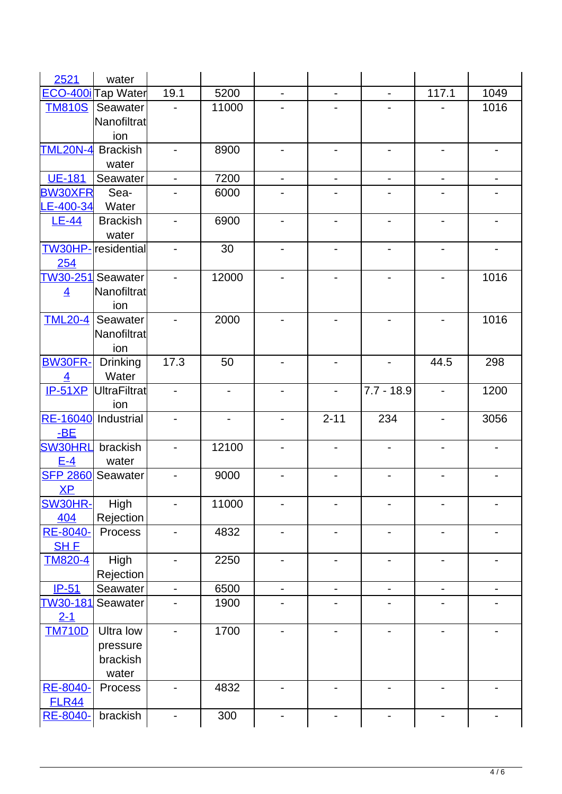| 2521                    | water                         |                |                          |                          |                          |                              |                              |                          |
|-------------------------|-------------------------------|----------------|--------------------------|--------------------------|--------------------------|------------------------------|------------------------------|--------------------------|
|                         | ECO-400i <sub>Tap</sub> Water | 19.1           | 5200                     |                          |                          | $\overline{\phantom{a}}$     | 117.1                        | 1049                     |
| <b>TM810S</b>           | Seawater                      |                | 11000                    |                          |                          |                              |                              | 1016                     |
|                         | Nanofiltrat                   |                |                          |                          |                          |                              |                              |                          |
|                         | ion                           |                |                          |                          |                          |                              |                              |                          |
| <b>TML20N-4</b>         | <b>Brackish</b>               |                | 8900                     |                          |                          |                              |                              |                          |
|                         | water                         |                |                          |                          |                          |                              |                              |                          |
| <b>UE-181</b>           | Seawater                      |                | 7200                     |                          |                          | $\overline{\phantom{a}}$     | $\qquad \qquad \blacksquare$ |                          |
| <b>BW30XFR</b>          | Sea-                          |                | 6000                     |                          |                          |                              |                              |                          |
| LE-400-34               | Water                         |                |                          |                          |                          |                              |                              |                          |
| $LE-44$                 | <b>Brackish</b>               | -              | 6900                     |                          |                          |                              | $\overline{\phantom{0}}$     |                          |
|                         | water                         |                |                          |                          |                          |                              |                              |                          |
|                         | <b>TW30HP-</b> residential    |                | 30                       |                          |                          |                              |                              |                          |
| 254                     |                               |                |                          |                          |                          |                              |                              |                          |
|                         | TW30-251 Seawater             |                | 12000                    |                          |                          |                              |                              | 1016                     |
| $\overline{4}$          | Nanofiltrat                   |                |                          |                          |                          |                              |                              |                          |
|                         | ion                           |                |                          |                          |                          |                              |                              |                          |
| <b>TML20-4</b>          | Seawater                      |                | 2000                     |                          |                          |                              |                              | 1016                     |
|                         | Nanofiltrat                   |                |                          |                          |                          |                              |                              |                          |
|                         | ion                           |                |                          |                          |                          |                              |                              |                          |
| <b>BW30FR-</b>          | <b>Drinking</b>               | 17.3           | 50                       |                          |                          | $\overline{\phantom{a}}$     | 44.5                         | 298                      |
| $\overline{4}$          | Water                         |                |                          |                          |                          |                              |                              |                          |
| $IP-51XP$               | UltraFiltrat                  | $\overline{a}$ | $\overline{\phantom{0}}$ |                          |                          | $7.7 - 18.9$                 | $\overline{\phantom{a}}$     | 1200                     |
|                         | ion                           |                |                          |                          |                          |                              |                              |                          |
| <b>RE-16040</b>         | Industrial                    |                |                          |                          | $2 - 11$                 | 234                          | $\overline{\phantom{0}}$     | 3056                     |
| $-BE$                   |                               |                |                          |                          |                          |                              |                              |                          |
| <b>SW30HRL</b> brackish |                               | $\overline{a}$ | 12100                    |                          |                          | $\overline{\phantom{0}}$     | $\blacksquare$               |                          |
| $E-4$                   |                               |                |                          |                          |                          |                              |                              |                          |
|                         | water                         |                |                          |                          |                          |                              |                              |                          |
| <b>SFP 2860</b>         | Seawater                      |                | 9000                     |                          |                          |                              |                              |                          |
| XP                      |                               |                |                          |                          |                          |                              |                              |                          |
| SW30HR-                 | High                          |                | 11000                    |                          |                          |                              |                              |                          |
| 404                     | Rejection                     |                |                          |                          |                          |                              |                              |                          |
| RE-8040-                | Process                       | -              | 4832                     | $\overline{\phantom{a}}$ | $\overline{\phantom{0}}$ | $\overline{\phantom{a}}$     | $\overline{\phantom{0}}$     | $\overline{\phantom{a}}$ |
| <b>SH E</b>             |                               |                |                          |                          |                          |                              |                              |                          |
| <b>TM820-4</b>          | High                          | -              | 2250                     | $\overline{\phantom{0}}$ | $\overline{\phantom{0}}$ | $\overline{\phantom{0}}$     | $\overline{\phantom{0}}$     |                          |
|                         | Rejection                     |                |                          |                          |                          |                              |                              |                          |
| $IP-51$                 | Seawater                      | ÷,             | 6500                     | $\overline{a}$           | $\blacksquare$           | $\overline{\phantom{a}}$     | $\blacksquare$               | $\overline{a}$           |
| TW30-181                | Seawater                      |                | 1900                     |                          |                          |                              |                              |                          |
| $2 - 1$                 |                               |                |                          |                          |                          |                              |                              |                          |
| <b>TM710D</b>           | Ultra low                     |                | 1700                     |                          |                          |                              | $\overline{\phantom{a}}$     |                          |
|                         | pressure                      |                |                          |                          |                          |                              |                              |                          |
|                         | brackish                      |                |                          |                          |                          |                              |                              |                          |
|                         | water                         |                |                          |                          |                          |                              |                              |                          |
| RE-8040-                | Process                       |                | 4832                     |                          |                          | $\qquad \qquad \blacksquare$ | $\qquad \qquad \blacksquare$ |                          |
| <b>FLR44</b>            |                               |                |                          |                          |                          |                              |                              |                          |
| RE-8040-                | brackish                      |                | 300                      |                          |                          | $\overline{\phantom{a}}$     | $\overline{\phantom{a}}$     |                          |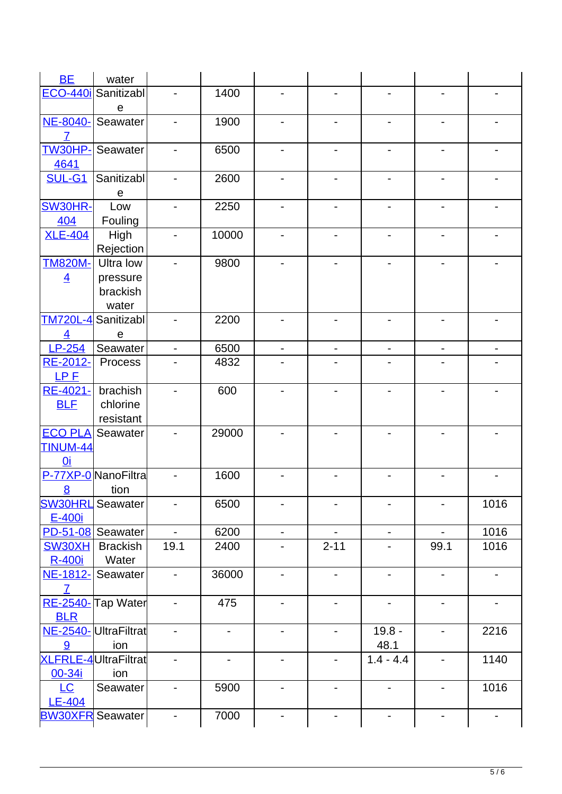| <b>BE</b>       | water                       |                              |                          |                              |                          |                          |                              |                          |
|-----------------|-----------------------------|------------------------------|--------------------------|------------------------------|--------------------------|--------------------------|------------------------------|--------------------------|
|                 | ECO-440i Sanitizabl         |                              | 1400                     |                              |                          |                          |                              |                          |
|                 | $\mathbf e$                 |                              |                          |                              |                          |                          |                              |                          |
| NE-8040-        | Seawater                    | -                            | 1900                     |                              |                          |                          |                              |                          |
| $\overline{7}$  |                             |                              |                          |                              |                          |                          |                              |                          |
| <b>TW30HP-</b>  | Seawater                    | -                            | 6500                     | -                            |                          |                          | $\overline{\phantom{0}}$     |                          |
| 4641            |                             |                              |                          |                              |                          |                          |                              |                          |
| <b>SUL-G1</b>   | Sanitizabl                  |                              | 2600                     |                              |                          |                          |                              |                          |
|                 | $\mathbf e$                 |                              |                          |                              |                          |                          |                              |                          |
| SW30HR-         | Low                         | $\overline{\phantom{0}}$     | 2250                     | -                            |                          | -                        | Ξ.                           |                          |
| 404             | Fouling                     |                              |                          |                              |                          |                          |                              |                          |
| <b>XLE-404</b>  | High                        | $\overline{\phantom{0}}$     | 10000                    | $\overline{\phantom{0}}$     |                          | -                        | ۰                            |                          |
|                 | Rejection                   |                              |                          |                              |                          |                          |                              |                          |
| <b>TM820M-</b>  | Ultra low                   |                              | 9800                     |                              |                          |                          |                              |                          |
| $\overline{4}$  | pressure                    |                              |                          |                              |                          |                          |                              |                          |
|                 | brackish                    |                              |                          |                              |                          |                          |                              |                          |
|                 | water                       |                              |                          |                              |                          |                          |                              |                          |
| <b>TM720L-4</b> | Sanitizabl                  | $\blacksquare$               | 2200                     |                              |                          |                          |                              |                          |
| $\overline{4}$  | $\mathbf e$                 |                              |                          |                              |                          |                          |                              |                          |
| LP-254          | Seawater                    | $\blacksquare$               | 6500                     | $\overline{\phantom{a}}$     | $\overline{\phantom{0}}$ | $\blacksquare$           | $\overline{\phantom{a}}$     | -                        |
| RE-2012-        | Process                     | -                            | 4832                     |                              |                          |                          |                              |                          |
| LPE             |                             |                              |                          |                              |                          |                          |                              |                          |
| RE-4021-        | brachish                    | $\overline{a}$               | 600                      | $\overline{a}$               |                          |                          |                              |                          |
| <b>BLF</b>      | chlorine                    |                              |                          |                              |                          |                          |                              |                          |
|                 | resistant                   |                              |                          |                              |                          |                          |                              |                          |
| <b>ECO PLA</b>  | Seawater                    |                              | 29000                    |                              |                          |                          |                              |                          |
| <b>TINUM-44</b> |                             |                              |                          |                              |                          |                          |                              |                          |
| <u>0i</u>       |                             |                              |                          |                              |                          |                          |                              |                          |
|                 | P-77XP-0 NanoFiltra         |                              | 1600                     |                              |                          |                          |                              |                          |
| 8               | tion                        |                              |                          |                              |                          |                          |                              |                          |
| <b>SW30HRL</b>  | Seawater                    | $\overline{\phantom{0}}$     | 6500                     | $\overline{\phantom{0}}$     | $\overline{\phantom{0}}$ | -                        | $\overline{\phantom{0}}$     | 1016                     |
| E-400i          |                             |                              |                          |                              |                          |                          |                              |                          |
| PD-51-08        | Seawater                    | $\blacksquare$               | 6200                     | ÷,                           |                          | $\overline{\phantom{a}}$ | $\blacksquare$               | 1016                     |
| SW30XH          | <b>Brackish</b>             | 19.1                         | 2400                     |                              | $2 - 11$                 |                          | 99.1                         | 1016                     |
| <b>R-400i</b>   | Water                       |                              |                          |                              |                          |                          |                              |                          |
| NE-1812-        | Seawater                    | -                            | 36000                    | $\qquad \qquad \blacksquare$ | -                        | ۰                        | $\overline{\phantom{a}}$     | $\overline{\phantom{a}}$ |
| $\overline{7}$  |                             |                              |                          |                              |                          |                          |                              |                          |
|                 | RE-2540-Tap Water           | $\qquad \qquad \blacksquare$ | 475                      | $\overline{\phantom{0}}$     | $\overline{\phantom{0}}$ | $\blacksquare$           | $\overline{\phantom{0}}$     |                          |
| <b>BLR</b>      |                             |                              |                          |                              |                          |                          |                              |                          |
|                 | NE-2540-UltraFiltrat        |                              |                          |                              |                          |                          |                              |                          |
|                 |                             | $\overline{\phantom{0}}$     | $\overline{\phantom{0}}$ | -                            | $\overline{\phantom{0}}$ | $19.8 -$                 | $\overline{\phantom{0}}$     | 2216                     |
| 9               | ion                         |                              |                          |                              |                          | 48.1                     |                              |                          |
|                 | <b>XLFRLE-4UltraFiltrat</b> | -                            | $\overline{\phantom{0}}$ | $\overline{\phantom{0}}$     | $\overline{\phantom{0}}$ | $1.4 - 4.4$              | $\qquad \qquad \blacksquare$ | 1140                     |
| 00-34i          | ion                         |                              |                          |                              |                          |                          |                              |                          |
| LC              | Seawater                    | -                            | 5900                     | -                            | -                        | $\overline{\phantom{a}}$ | $\blacksquare$               | 1016                     |
| $LE-404$        |                             |                              |                          |                              |                          |                          |                              |                          |
| <b>BW30XFR</b>  | Seawater                    | -                            | 7000                     | -                            |                          | ۰                        | $\blacksquare$               | ۰                        |